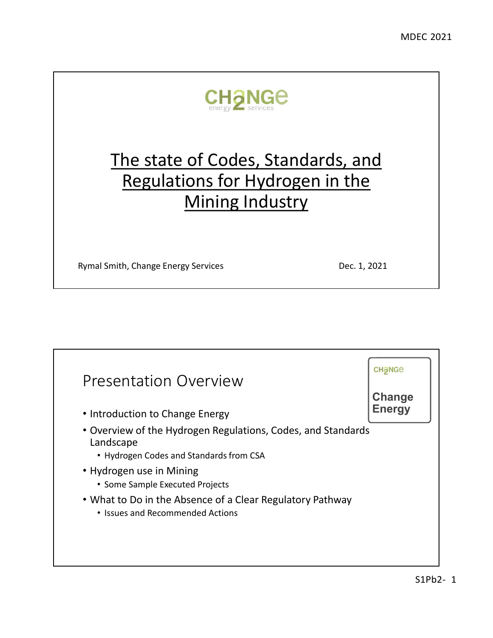

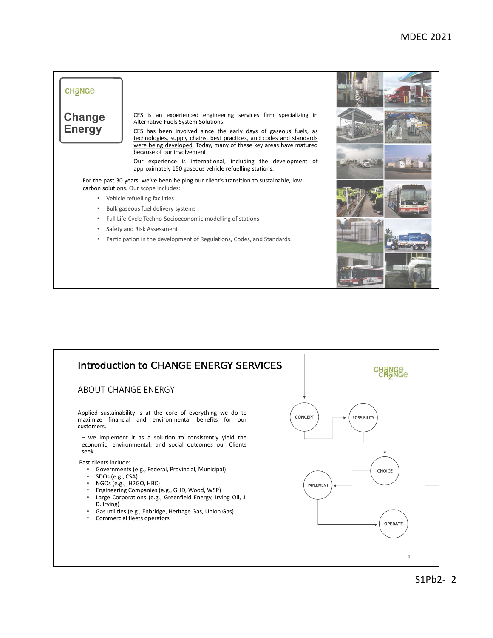

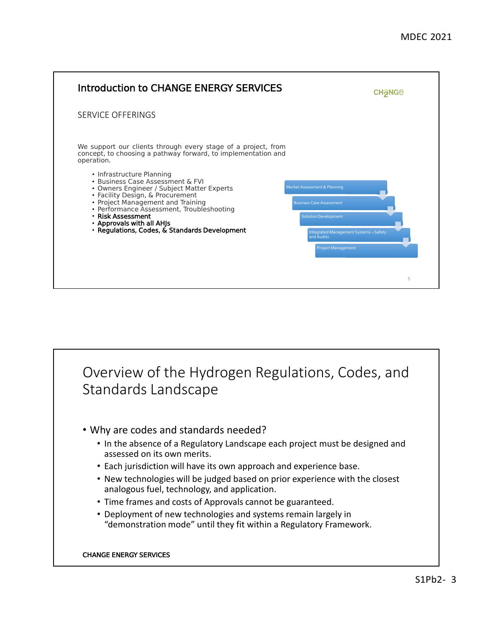

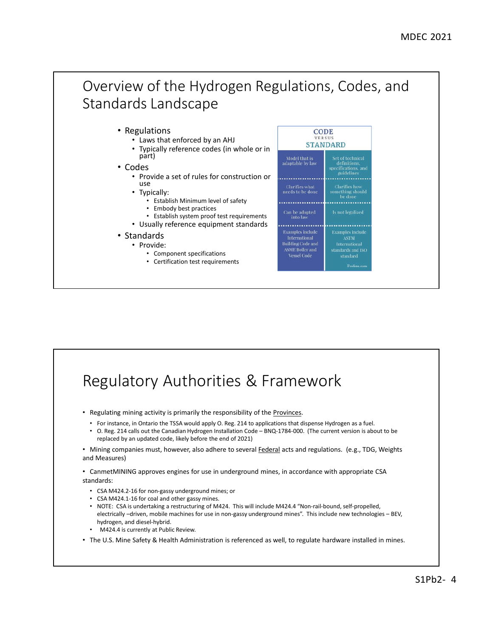

## Regulatory Authorities & Framework

• Regulating mining activity is primarily the responsibility of the Provinces.

- For instance, in Ontario the TSSA would apply O. Reg. 214 to applications that dispense Hydrogen as a fuel.
- O. Reg. 214 calls out the Canadian Hydrogen Installation Code BNQ-1784-000. (The current version is about to be replaced by an updated code, likely before the end of 2021)

• Mining companies must, however, also adhere to several Federal acts and regulations. (e.g., TDG, Weights and Measures)

• CanmetMINING approves engines for use in underground mines, in accordance with appropriate CSA standards:

- CSA M424.2-16 for non-gassy underground mines; or
- CSA M424.1-16 for coal and other gassy mines.
- NOTE: CSA is undertaking a restructuring of M424. This will include M424.4 "Non-rail-bound, self-propelled, electrically –driven, mobile machines for use in non-gassy underground mines". This include new technologies – BEV, hydrogen, and diesel-hybrid.
- M424.4 is currently at Public Review.
- The U.S. Mine Safety & Health Administration is referenced as well, to regulate hardware installed in mines.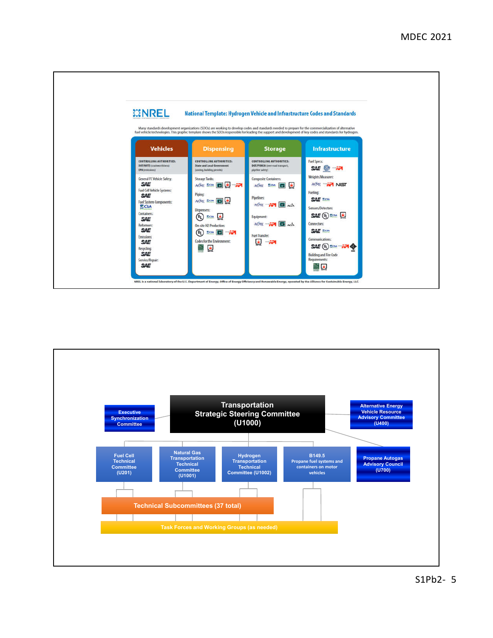

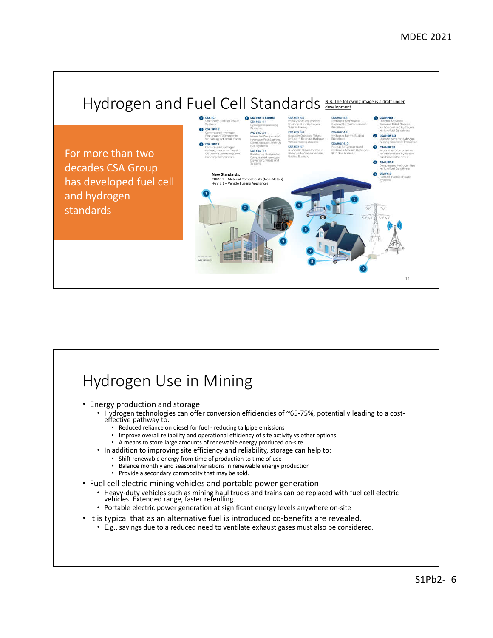

# Hydrogen Use in Mining

- Energy production and storage
	- Hydrogen technologies can offer conversion efficiencies of ~65-75%, potentially leading to a cost- effective pathway to:
		- Reduced reliance on diesel for fuel reducing tailpipe emissions
		- Improve overall reliability and operational efficiency of site activity vs other options
		- A means to store large amounts of renewable energy produced on-site
	- In addition to improving site efficiency and reliability, storage can help to:
		- Shift renewable energy from time of production to time of use
		- Balance monthly and seasonal variations in renewable energy production
		- Provide a secondary commodity that may be sold.
- Fuel cell electric mining vehicles and portable power generation
	- Heavy-duty vehicles such as mining haul trucks and trains can be replaced with fuel cell electric vehicles. Extended range, faster refeulling.
	- Portable electric power generation at significant energy levels anywhere on-site
- It is typical that as an alternative fuel is introduced co-benefits are revealed.
	- E.g., savings due to a reduced need to ventilate exhaust gases must also be considered.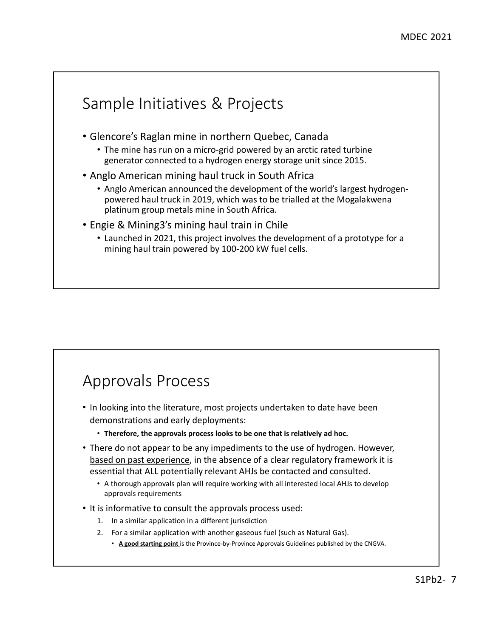

## Approvals Process

- In looking into the literature, most projects undertaken to date have been demonstrations and early deployments:
	- **Therefore, the approvals process looks to be one that is relatively ad hoc.**
- There do not appear to be any impediments to the use of hydrogen. However, based on past experience, in the absence of a clear regulatory framework it is essential that ALL potentially relevant AHJs be contacted and consulted.
	- A thorough approvals plan will require working with all interested local AHJs to develop approvals requirements
- It is informative to consult the approvals process used:
	- 1. In a similar application in a different jurisdiction
	- 2. For a similar application with another gaseous fuel (such as Natural Gas). • **A good starting point** is the Province-by-Province Approvals Guidelines published by the CNGVA.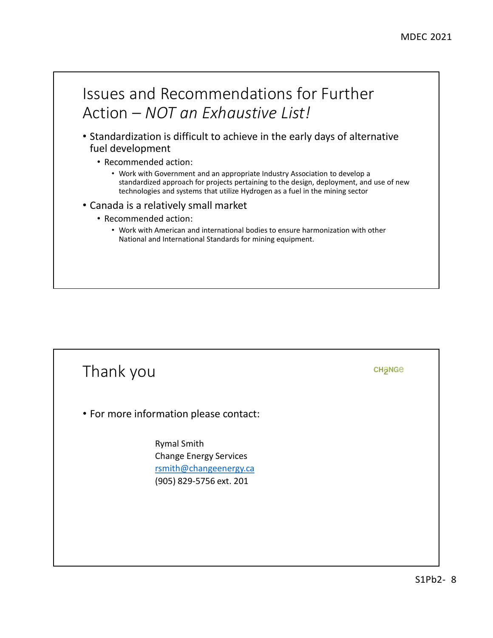

- Standardization is difficult to achieve in the early days of alternative fuel development
	- Recommended action:
		- Work with Government and an appropriate Industry Association to develop a standardized approach for projects pertaining to the design, deployment, and use of new technologies and systems that utilize Hydrogen as a fuel in the mining sector
- Canada is a relatively small market
	- Recommended action:
		- Work with American and international bodies to ensure harmonization with other National and International Standards for mining equipment.

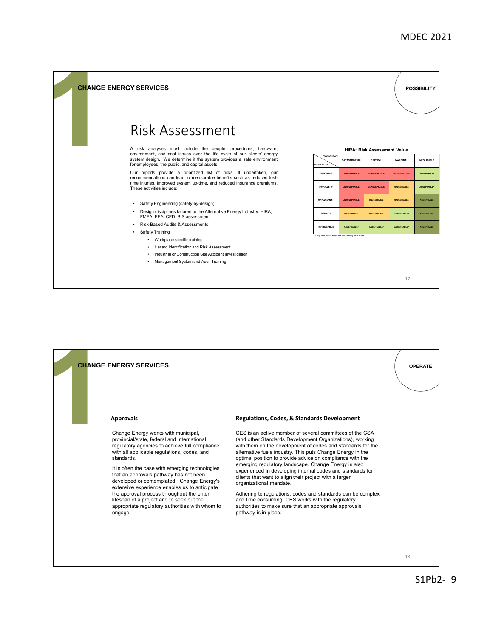